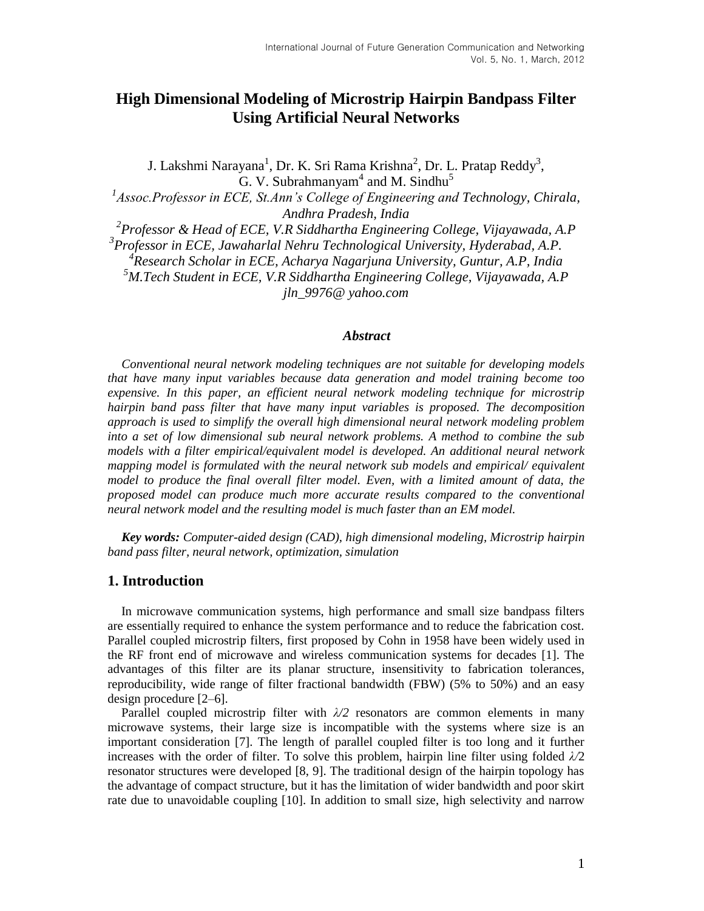# **High Dimensional Modeling of Microstrip Hairpin Bandpass Filter Using Artificial Neural Networks**

J. Lakshmi Narayana<sup>1</sup>, Dr. K. Sri Rama Krishna<sup>2</sup>, Dr. L. Pratap Reddy<sup>3</sup>,  $\mathrm{G.}$  V. Subrahmanyam $^4$  and M. Sindhu $^5$ <sup>1</sup> Assoc.Professor in ECE, St.Ann's College of Engineering and Technology, Chirala, *Andhra Pradesh, India 2 Professor & Head of ECE, V.R Siddhartha Engineering College, Vijayawada, A.P 3 Professor in ECE, Jawaharlal Nehru Technological University, Hyderabad, A.P.*

*4 Research Scholar in ECE, Acharya Nagarjuna University, Guntur, A.P, India <sup>5</sup>M.Tech Student in ECE, V.R Siddhartha Engineering College, Vijayawada, A.P [jln\\_9976@ yahoo.com](mailto:jln%1f%1f_9976@yahoo.com)*

#### *Abstract*

*Conventional neural network modeling techniques are not suitable for developing models that have many input variables because data generation and model training become too expensive. In this paper, an efficient neural network modeling technique for microstrip hairpin band pass filter that have many input variables is proposed. The decomposition approach is used to simplify the overall high dimensional neural network modeling problem into a set of low dimensional sub neural network problems. A method to combine the sub models with a filter empirical/equivalent model is developed. An additional neural network mapping model is formulated with the neural network sub models and empirical/ equivalent*  model to produce the final overall filter model. Even, with a limited amount of data, the *proposed model can produce much more accurate results compared to the conventional neural network model and the resulting model is much faster than an EM model.*

*Key words: Computer-aided design (CAD), high dimensional modeling, Microstrip hairpin band pass filter, neural network, optimization, simulation*

### **1. Introduction**

In microwave communication systems, high performance and small size bandpass filters are essentially required to enhance the system performance and to reduce the fabrication cost. Parallel coupled microstrip filters, first proposed by Cohn in 1958 have been widely used in the RF front end of microwave and wireless communication systems for decades [1]. The advantages of this filter are its planar structure, insensitivity to fabrication tolerances, reproducibility, wide range of filter fractional bandwidth (FBW) (5% to 50%) and an easy design procedure [2–6].

Parallel coupled microstrip filter with  $\lambda/2$  resonators are common elements in many microwave systems, their large size is incompatible with the systems where size is an important consideration [7]. The length of parallel coupled filter is too long and it further increases with the order of filter. To solve this problem, hairpin line filter using folded *λ/*2 resonator structures were developed [8, 9]. The traditional design of the hairpin topology has the advantage of compact structure, but it has the limitation of wider bandwidth and poor skirt rate due to unavoidable coupling [10]. In addition to small size, high selectivity and narrow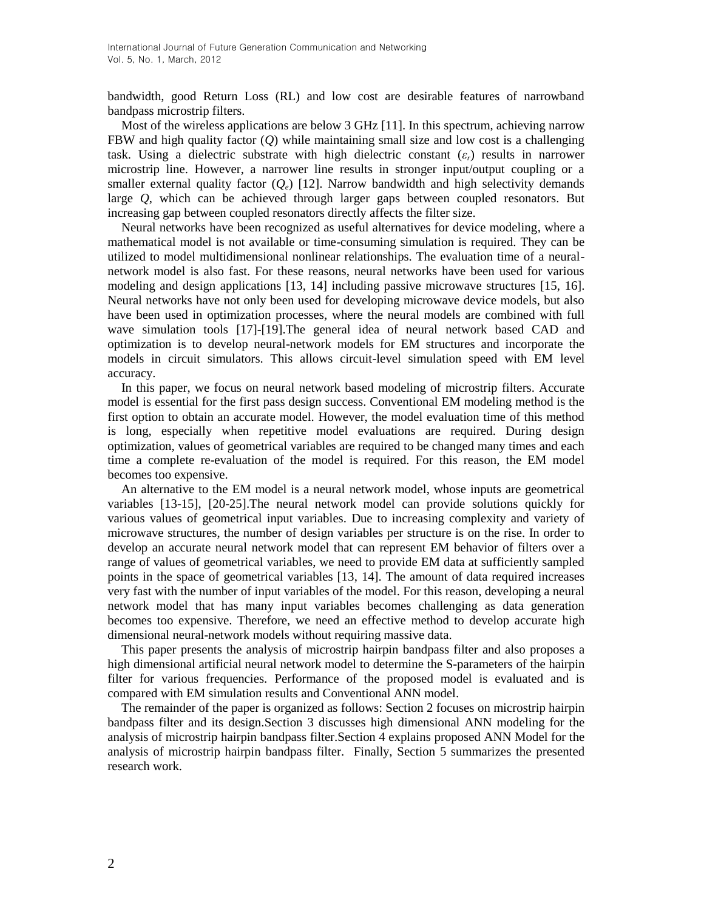bandwidth, good Return Loss (RL) and low cost are desirable features of narrowband bandpass microstrip filters.

Most of the wireless applications are below 3 GHz [11]. In this spectrum, achieving narrow FBW and high quality factor (*Q*) while maintaining small size and low cost is a challenging task. Using a dielectric substrate with high dielectric constant (*εr*) results in narrower microstrip line. However, a narrower line results in stronger input/output coupling or a smaller external quality factor  $(Q_e)$  [12]. Narrow bandwidth and high selectivity demands large *Q*, which can be achieved through larger gaps between coupled resonators. But increasing gap between coupled resonators directly affects the filter size.

Neural networks have been recognized as useful alternatives for device modeling, where a mathematical model is not available or time-consuming simulation is required. They can be utilized to model multidimensional nonlinear relationships. The evaluation time of a neuralnetwork model is also fast. For these reasons, neural networks have been used for various modeling and design applications [13, 14] including passive microwave structures [15, 16]. Neural networks have not only been used for developing microwave device models, but also have been used in optimization processes, where the neural models are combined with full wave simulation tools [17]-[19].The general idea of neural network based CAD and optimization is to develop neural-network models for EM structures and incorporate the models in circuit simulators. This allows circuit-level simulation speed with EM level accuracy.

In this paper, we focus on neural network based modeling of microstrip filters. Accurate model is essential for the first pass design success. Conventional EM modeling method is the first option to obtain an accurate model. However, the model evaluation time of this method is long, especially when repetitive model evaluations are required. During design optimization, values of geometrical variables are required to be changed many times and each time a complete re-evaluation of the model is required. For this reason, the EM model becomes too expensive.

An alternative to the EM model is a neural network model, whose inputs are geometrical variables [13-15], [20-25].The neural network model can provide solutions quickly for various values of geometrical input variables. Due to increasing complexity and variety of microwave structures, the number of design variables per structure is on the rise. In order to develop an accurate neural network model that can represent EM behavior of filters over a range of values of geometrical variables, we need to provide EM data at sufficiently sampled points in the space of geometrical variables [13, 14]. The amount of data required increases very fast with the number of input variables of the model. For this reason, developing a neural network model that has many input variables becomes challenging as data generation becomes too expensive. Therefore, we need an effective method to develop accurate high dimensional neural-network models without requiring massive data.

This paper presents the analysis of microstrip hairpin bandpass filter and also proposes a high dimensional artificial neural network model to determine the S-parameters of the hairpin filter for various frequencies. Performance of the proposed model is evaluated and is compared with EM simulation results and Conventional ANN model.

The remainder of the paper is organized as follows: Section 2 focuses on microstrip hairpin bandpass filter and its design.Section 3 discusses high dimensional ANN modeling for the analysis of microstrip hairpin bandpass filter.Section 4 explains proposed ANN Model for the analysis of microstrip hairpin bandpass filter. Finally, Section 5 summarizes the presented research work.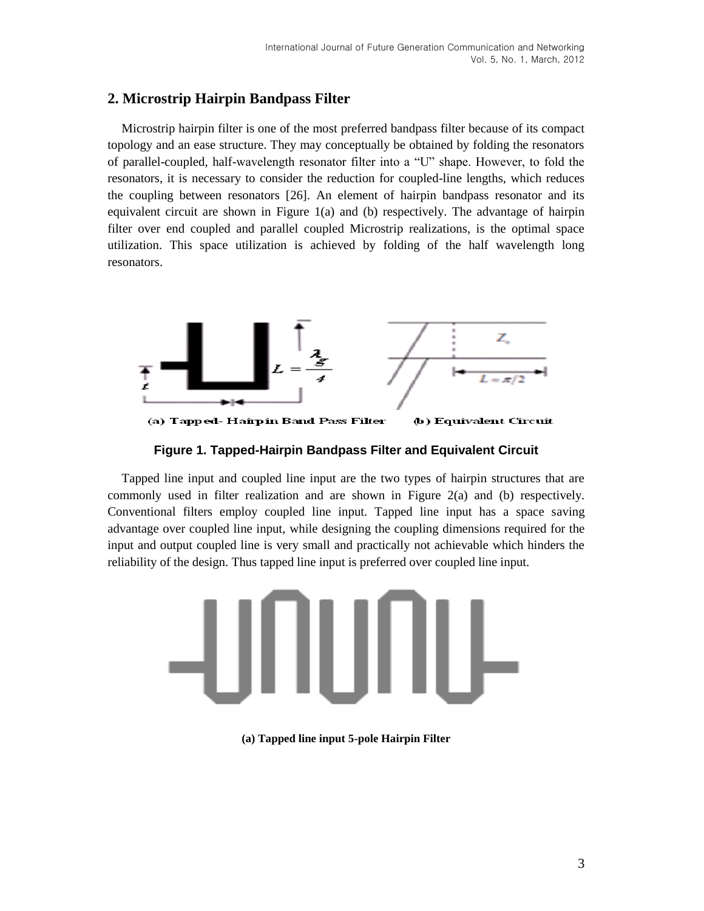## **2. Microstrip Hairpin Bandpass Filter**

Microstrip hairpin filter is one of the most preferred bandpass filter because of its compact topology and an ease structure. They may conceptually be obtained by folding the resonators of parallel-coupled, half-wavelength resonator filter into a "U" shape. However, to fold the resonators, it is necessary to consider the reduction for coupled-line lengths, which reduces the coupling between resonators [26]. An element of hairpin bandpass resonator and its equivalent circuit are shown in Figure 1(a) and (b) respectively. The advantage of hairpin filter over end coupled and parallel coupled Microstrip realizations, is the optimal space utilization. This space utilization is achieved by folding of the half wavelength long resonators.



(a) Tapped-Hairpin Band Pass Filter (b) Equivalent Circuit

**Figure 1. Tapped-Hairpin Bandpass Filter and Equivalent Circuit**

Tapped line input and coupled line input are the two types of hairpin structures that are commonly used in filter realization and are shown in Figure 2(a) and (b) respectively. Conventional filters employ coupled line input. Tapped line input has a space saving advantage over coupled line input, while designing the coupling dimensions required for the input and output coupled line is very small and practically not achievable which hinders the reliability of the design. Thus tapped line input is preferred over coupled line input.



**(a) Tapped line input 5-pole Hairpin Filter**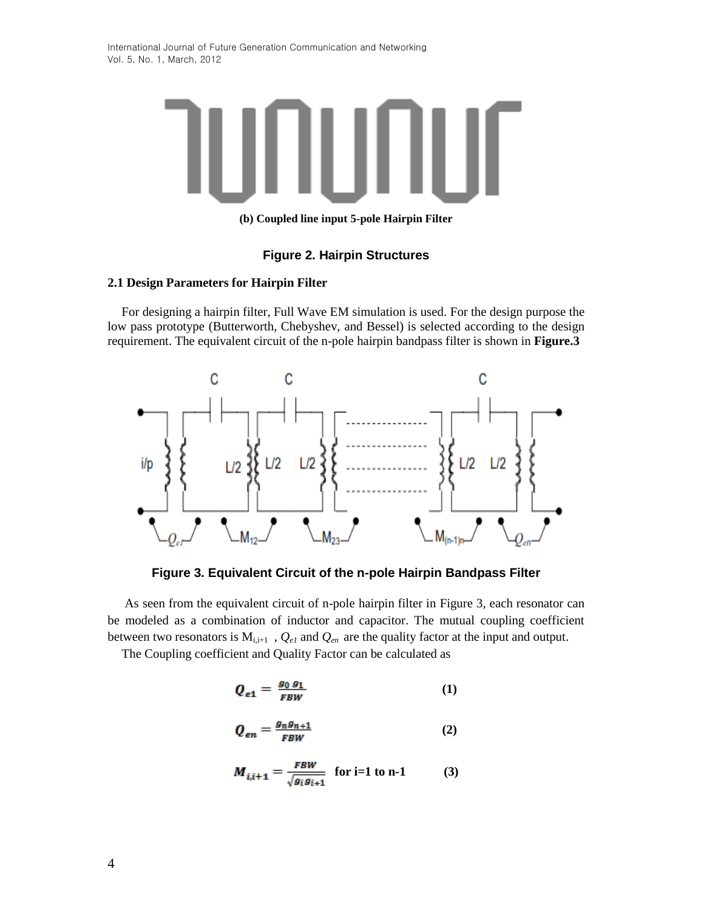

**(b) Coupled line input 5-pole Hairpin Filter**

### **Figure 2. Hairpin Structures**

#### **2.1 Design Parameters for Hairpin Filter**

For designing a hairpin filter, Full Wave EM simulation is used. For the design purpose the low pass prototype (Butterworth, Chebyshev, and Bessel) is selected according to the design requirement. The equivalent circuit of the n-pole hairpin bandpass filter is shown in **Figure.3**



**Figure 3. Equivalent Circuit of the n-pole Hairpin Bandpass Filter**

As seen from the equivalent circuit of n-pole hairpin filter in Figure 3, each resonator can be modeled as a combination of inductor and capacitor. The mutual coupling coefficient between two resonators is  $M_{i,i+1}$ ,  $Q_{el}$  and  $Q_{en}$  are the quality factor at the input and output.

The Coupling coefficient and Quality Factor can be calculated as

$$
Q_{e1} = \frac{g_0 g_1}{FBW} \tag{1}
$$

$$
Q_{en} = \frac{g_n g_{n+1}}{FBW} \tag{2}
$$

$$
M_{i,i+1} = \frac{FBW}{\sqrt{g_i g_{i+1}}} \text{ for i=1 to n-1} \tag{3}
$$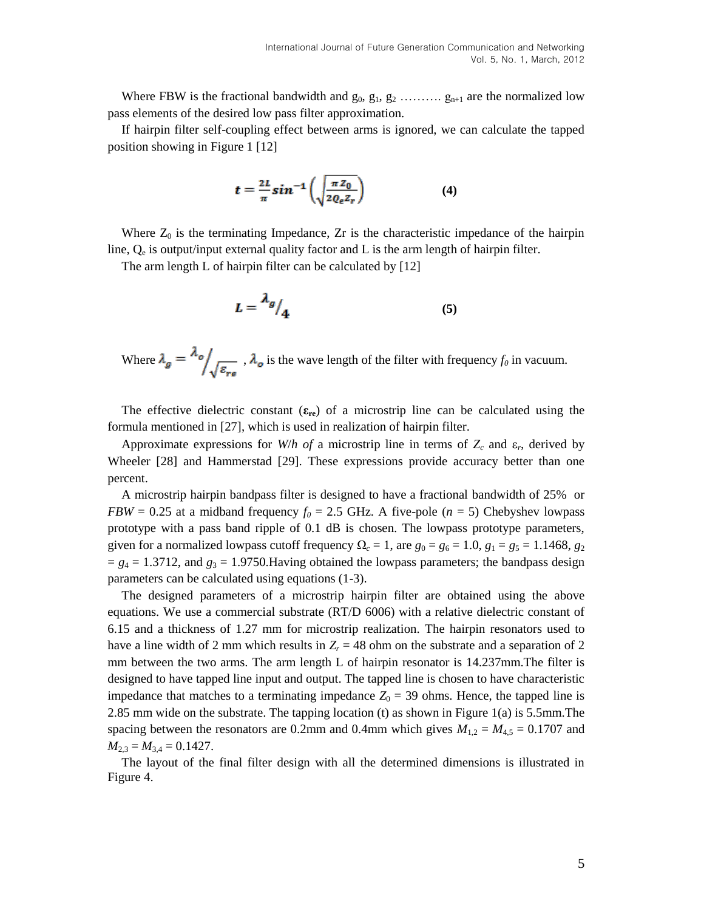Where FBW is the fractional bandwidth and  $g_0, g_1, g_2, \ldots, g_{n+1}$  are the normalized low pass elements of the desired low pass filter approximation.

If hairpin filter self-coupling effect between arms is ignored, we can calculate the tapped position showing in Figure 1 [12]

$$
t = \frac{2L}{\pi} \sin^{-1} \left( \sqrt{\frac{\pi Z_0}{2 Q_e Z_r}} \right) \tag{4}
$$

Where  $Z_0$  is the terminating Impedance,  $Zr$  is the characteristic impedance of the hairpin line,  $Q_e$  is output/input external quality factor and L is the arm length of hairpin filter.

The arm length L of hairpin filter can be calculated by [12]

$$
L = \frac{\lambda_g}{4} \tag{5}
$$

Where  $\lambda_g = \frac{\lambda_o}{\sqrt{\varepsilon_{rs}}}$ ,  $\lambda_o$  is the wave length of the filter with frequency  $f_0$  in vacuum.

The effective dielectric constant  $(\epsilon_{re})$  of a microstrip line can be calculated using the formula mentioned in [27], which is used in realization of hairpin filter.

Approximate expressions for *W*/*h* of a microstrip line in terms of  $Z_c$  and  $\varepsilon_r$ , derived by Wheeler [28] and Hammerstad [29]. These expressions provide accuracy better than one percent.

A microstrip hairpin bandpass filter is designed to have a fractional bandwidth of 25% or *FBW* = 0.25 at a midband frequency  $f_0 = 2.5$  GHz. A five-pole ( $n = 5$ ) Chebyshev lowpass prototype with a pass band ripple of 0.1 dB is chosen. The lowpass prototype parameters, given for a normalized lowpass cutoff frequency  $\Omega_c = 1$ , are  $g_0 = g_6 = 1.0$ ,  $g_1 = g_5 = 1.1468$ ,  $g_2$  $= g_4 = 1.3712$ , and  $g_3 = 1.9750$ . Having obtained the lowpass parameters; the bandpass design parameters can be calculated using equations (1-3).

The designed parameters of a microstrip hairpin filter are obtained using the above equations. We use a commercial substrate (RT/D 6006) with a relative dielectric constant of 6.15 and a thickness of 1.27 mm for microstrip realization. The hairpin resonators used to have a line width of 2 mm which results in  $Z_r = 48$  ohm on the substrate and a separation of 2 mm between the two arms. The arm length L of hairpin resonator is 14.237mm.The filter is designed to have tapped line input and output. The tapped line is chosen to have characteristic impedance that matches to a terminating impedance  $Z_0 = 39$  ohms. Hence, the tapped line is 2.85 mm wide on the substrate. The tapping location (t) as shown in Figure 1(a) is 5.5mm.The spacing between the resonators are 0.2mm and 0.4mm which gives  $M_{1,2} = M_{4,5} = 0.1707$  and  $M_{2,3} = M_{3,4} = 0.1427$ .

The layout of the final filter design with all the determined dimensions is illustrated in Figure 4.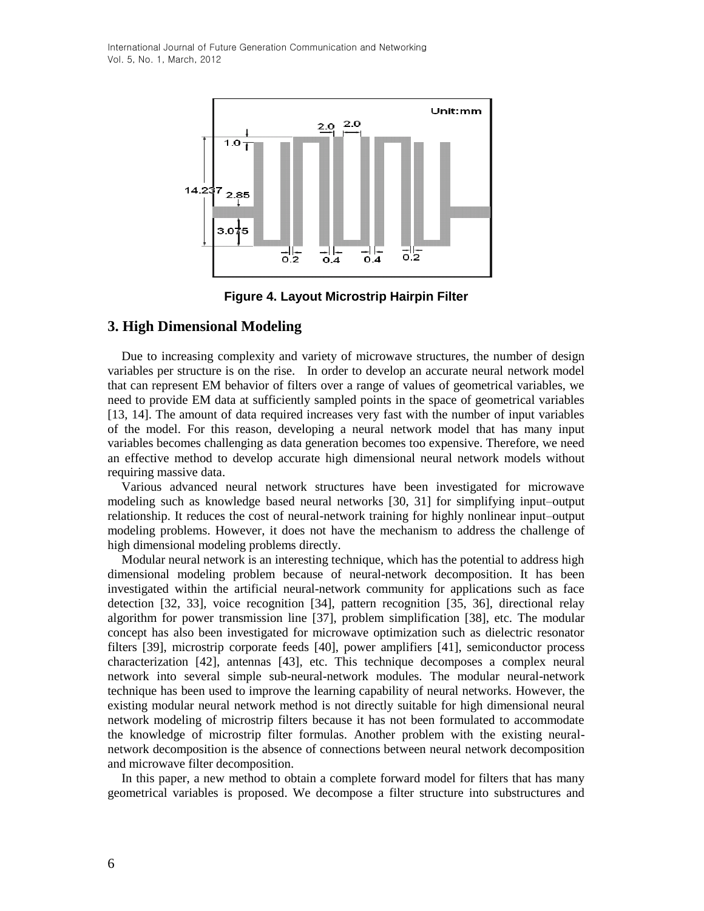

**Figure 4. Layout Microstrip Hairpin Filter**

### **3. High Dimensional Modeling**

Due to increasing complexity and variety of microwave structures, the number of design variables per structure is on the rise. In order to develop an accurate neural network model that can represent EM behavior of filters over a range of values of geometrical variables, we need to provide EM data at sufficiently sampled points in the space of geometrical variables [13, 14]. The amount of data required increases very fast with the number of input variables of the model. For this reason, developing a neural network model that has many input variables becomes challenging as data generation becomes too expensive. Therefore, we need an effective method to develop accurate high dimensional neural network models without requiring massive data.

Various advanced neural network structures have been investigated for microwave modeling such as knowledge based neural networks [30, 31] for simplifying input–output relationship. It reduces the cost of neural-network training for highly nonlinear input–output modeling problems. However, it does not have the mechanism to address the challenge of high dimensional modeling problems directly.

Modular neural network is an interesting technique, which has the potential to address high dimensional modeling problem because of neural-network decomposition. It has been investigated within the artificial neural-network community for applications such as face detection [32, 33], voice recognition [34], pattern recognition [35, 36], directional relay algorithm for power transmission line [37], problem simplification [38], etc. The modular concept has also been investigated for microwave optimization such as dielectric resonator filters [39], microstrip corporate feeds [40], power amplifiers [41], semiconductor process characterization [42], antennas [43], etc. This technique decomposes a complex neural network into several simple sub-neural-network modules. The modular neural-network technique has been used to improve the learning capability of neural networks. However, the existing modular neural network method is not directly suitable for high dimensional neural network modeling of microstrip filters because it has not been formulated to accommodate the knowledge of microstrip filter formulas. Another problem with the existing neuralnetwork decomposition is the absence of connections between neural network decomposition and microwave filter decomposition.

In this paper, a new method to obtain a complete forward model for filters that has many geometrical variables is proposed. We decompose a filter structure into substructures and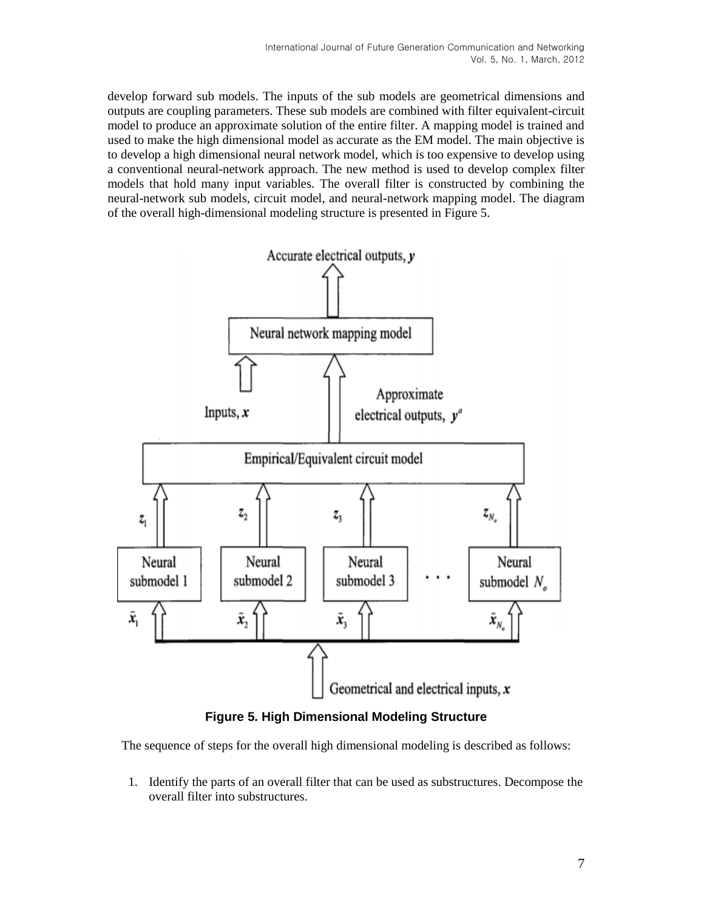develop forward sub models. The inputs of the sub models are geometrical dimensions and outputs are coupling parameters. These sub models are combined with filter equivalent-circuit model to produce an approximate solution of the entire filter. A mapping model is trained and used to make the high dimensional model as accurate as the EM model. The main objective is to develop a high dimensional neural network model, which is too expensive to develop using a conventional neural-network approach. The new method is used to develop complex filter models that hold many input variables. The overall filter is constructed by combining the neural-network sub models, circuit model, and neural-network mapping model. The diagram of the overall high-dimensional modeling structure is presented in Figure 5.



**Figure 5. High Dimensional Modeling Structure**

The sequence of steps for the overall high dimensional modeling is described as follows:

1. Identify the parts of an overall filter that can be used as substructures. Decompose the overall filter into substructures.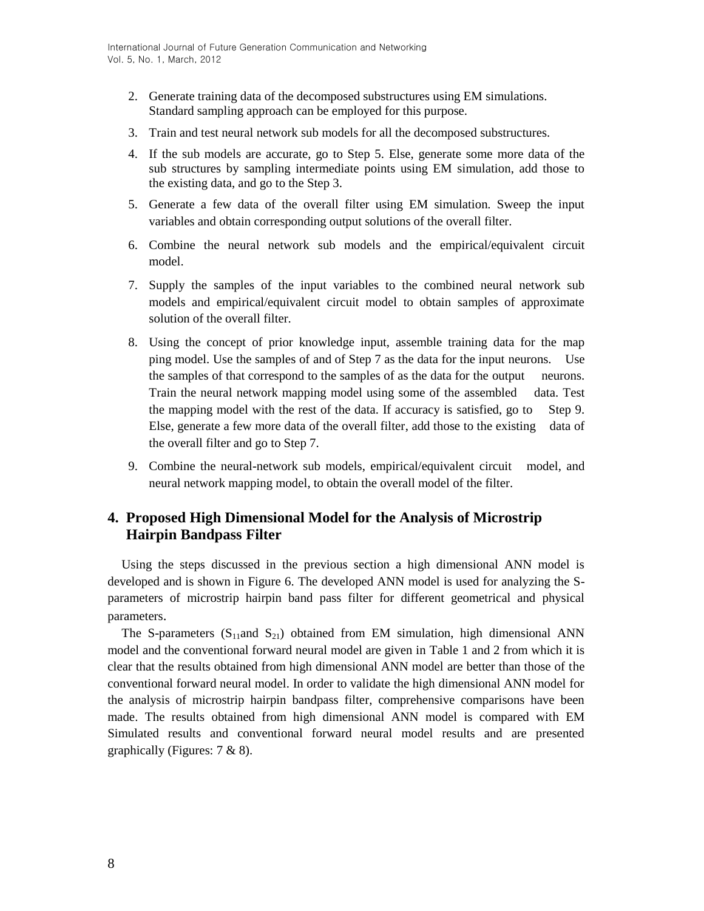- 2. Generate training data of the decomposed substructures using EM simulations. Standard sampling approach can be employed for this purpose.
- 3. Train and test neural network sub models for all the decomposed substructures.
- 4. If the sub models are accurate, go to Step 5. Else, generate some more data of the sub structures by sampling intermediate points using EM simulation, add those to the existing data, and go to the Step 3.
- 5. Generate a few data of the overall filter using EM simulation. Sweep the input variables and obtain corresponding output solutions of the overall filter.
- 6. Combine the neural network sub models and the empirical/equivalent circuit model.
- 7. Supply the samples of the input variables to the combined neural network sub models and empirical/equivalent circuit model to obtain samples of approximate solution of the overall filter.
- 8. Using the concept of prior knowledge input, assemble training data for the map ping model. Use the samples of and of Step 7 as the data for the input neurons. Use the samples of that correspond to the samples of as the data for the output neurons. Train the neural network mapping model using some of the assembled data. Test the mapping model with the rest of the data. If accuracy is satisfied, go to Step 9. Else, generate a few more data of the overall filter, add those to the existing data of the overall filter and go to Step 7.
- 9. Combine the neural-network sub models, empirical/equivalent circuit model, and neural network mapping model, to obtain the overall model of the filter.

## **4. Proposed High Dimensional Model for the Analysis of Microstrip Hairpin Bandpass Filter**

Using the steps discussed in the previous section a high dimensional ANN model is developed and is shown in Figure 6. The developed ANN model is used for analyzing the Sparameters of microstrip hairpin band pass filter for different geometrical and physical parameters.

The S-parameters (S<sub>11</sub>and S<sub>21</sub>) obtained from EM simulation, high dimensional ANN model and the conventional forward neural model are given in Table 1 and 2 from which it is clear that the results obtained from high dimensional ANN model are better than those of the conventional forward neural model. In order to validate the high dimensional ANN model for the analysis of microstrip hairpin bandpass filter, comprehensive comparisons have been made. The results obtained from high dimensional ANN model is compared with EM Simulated results and conventional forward neural model results and are presented graphically (Figures: 7 & 8).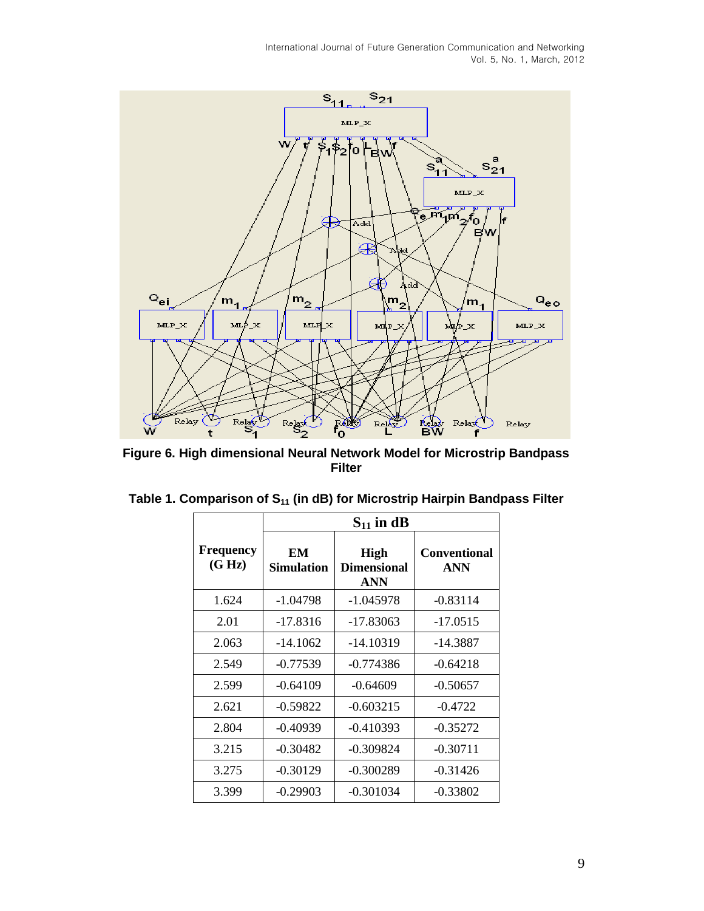

**Figure 6. High dimensional Neural Network Model for Microstrip Bandpass Filter**

|                            |                         | $S_{11}$ in dB                                  |                                   |  |  |
|----------------------------|-------------------------|-------------------------------------------------|-----------------------------------|--|--|
| <b>Frequency</b><br>(G Hz) | EM<br><b>Simulation</b> | <b>High</b><br><b>Dimensional</b><br><b>ANN</b> | <b>Conventional</b><br><b>ANN</b> |  |  |
| 1.624                      | $-1.04798$              | $-1.045978$                                     | $-0.83114$                        |  |  |
| 2.01                       | $-17.8316$              | $-17.83063$                                     | $-17.0515$                        |  |  |
| 2.063                      | $-14.1062$              | $-14.10319$                                     | -14.3887                          |  |  |
| 2.549                      | $-0.77539$              | $-0.774386$                                     | $-0.64218$                        |  |  |
| 2.599                      | $-0.64109$              | $-0.64609$                                      | $-0.50657$                        |  |  |
| 2.621                      | $-0.59822$              | $-0.603215$                                     | $-0.4722$                         |  |  |
| 2.804                      | $-0.40939$              | $-0.410393$                                     | $-0.35272$                        |  |  |
| 3.215                      | $-0.30482$              | $-0.309824$                                     | $-0.30711$                        |  |  |
| 3.275                      | $-0.30129$              | $-0.300289$                                     | $-0.31426$                        |  |  |
| 3.399                      | $-0.29903$              | $-0.301034$                                     | $-0.33802$                        |  |  |

| Table 1. Comparison of S <sub>11</sub> (in dB) for Microstrip Hairpin Bandpass Filter |  |  |  |  |  |  |
|---------------------------------------------------------------------------------------|--|--|--|--|--|--|
|---------------------------------------------------------------------------------------|--|--|--|--|--|--|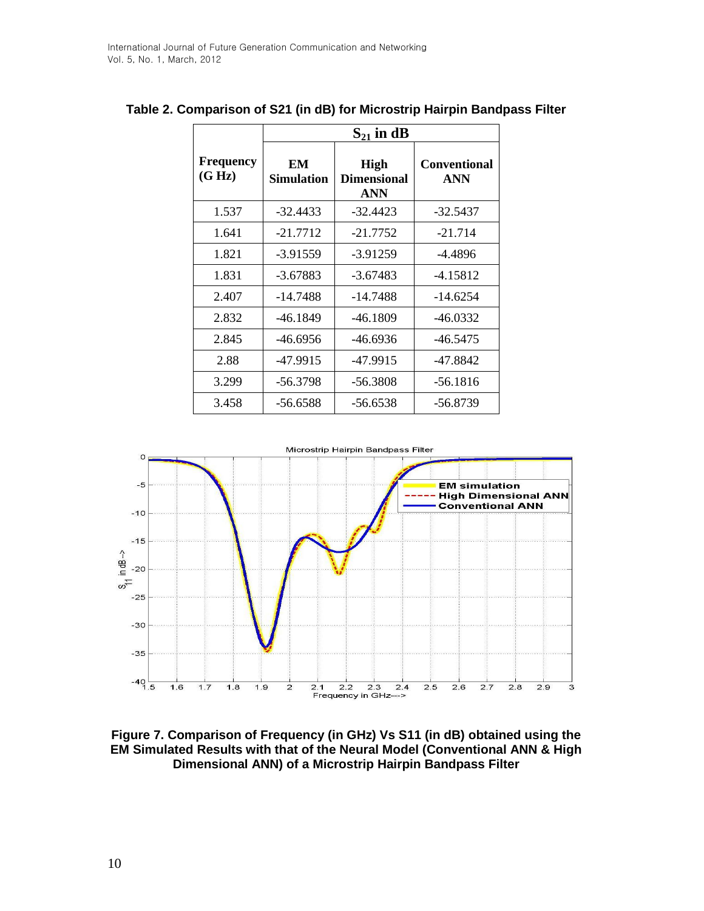|                            | $S_{21}$ in dB   |                                                 |                                   |  |  |
|----------------------------|------------------|-------------------------------------------------|-----------------------------------|--|--|
| <b>Frequency</b><br>(G Hz) | EM<br>Simulation | <b>High</b><br><b>Dimensional</b><br><b>ANN</b> | <b>Conventional</b><br><b>ANN</b> |  |  |
| 1.537                      | $-32.4433$       | $-32.4423$                                      | $-32.5437$                        |  |  |
| 1.641                      | $-21.7712$       | $-21.7752$                                      | $-21.714$                         |  |  |
| 1.821                      | $-3.91559$       | $-3.91259$                                      | $-4.4896$                         |  |  |
| 1.831                      | $-3.67883$       | $-3.67483$                                      | $-4.15812$                        |  |  |
| 2.407                      | $-14.7488$       | -14.7488                                        | $-14.6254$                        |  |  |
| 2.832                      | -46.1849         | $-46.1809$                                      | -46.0332                          |  |  |
| 2.845                      | -46.6956         | -46.6936                                        | $-46.5475$                        |  |  |
| 2.88                       | -47.9915         | -47.9915                                        | -47.8842                          |  |  |
| 3.299                      | -56.3798         | -56.3808                                        | -56.1816                          |  |  |
| 3.458                      | -56.6588         | -56.6538                                        | -56.8739                          |  |  |

### **Table 2. Comparison of S21 (in dB) for Microstrip Hairpin Bandpass Filter**

 $\overline{\mathsf{L}}$ 



**Figure 7. Comparison of Frequency (in GHz) Vs S11 (in dB) obtained using the EM Simulated Results with that of the Neural Model (Conventional ANN & High Dimensional ANN) of a Microstrip Hairpin Bandpass Filter**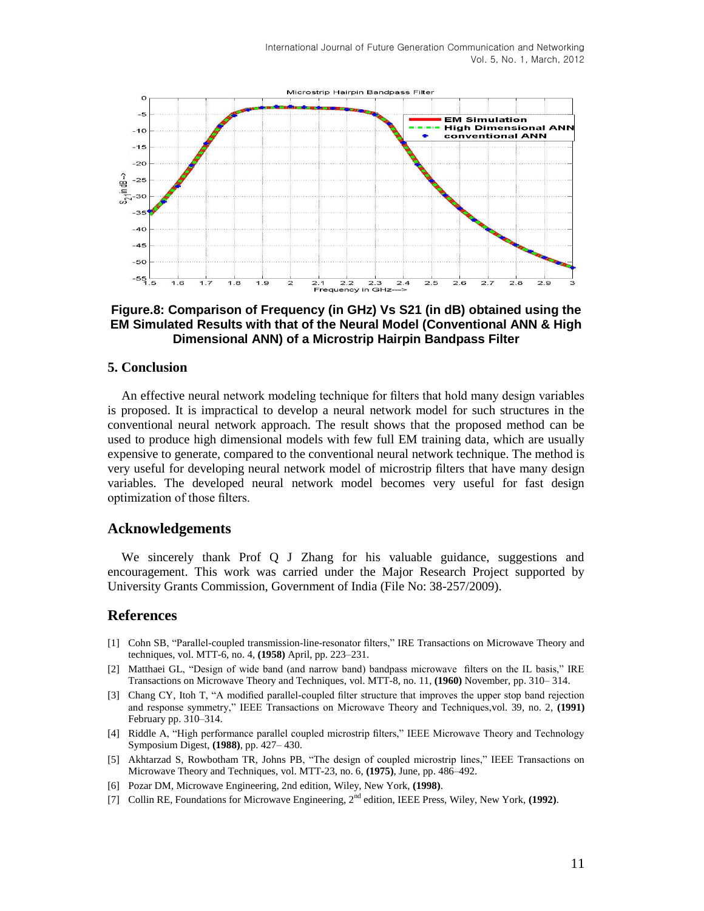

### **Figure.8: Comparison of Frequency (in GHz) Vs S21 (in dB) obtained using the EM Simulated Results with that of the Neural Model (Conventional ANN & High Dimensional ANN) of a Microstrip Hairpin Bandpass Filter**

### **5. Conclusion**

An effective neural network modeling technique for filters that hold many design variables is proposed. It is impractical to develop a neural network model for such structures in the conventional neural network approach. The result shows that the proposed method can be used to produce high dimensional models with few full EM training data, which are usually expensive to generate, compared to the conventional neural network technique. The method is very useful for developing neural network model of microstrip filters that have many design variables. The developed neural network model becomes very useful for fast design optimization of those filters.

### **Acknowledgements**

We sincerely thank Prof Q J Zhang for his valuable guidance, suggestions and encouragement. This work was carried under the Major Research Project supported by University Grants Commission, Government of India (File No: 38-257/2009).

### **References**

- [1] Cohn SB, "Parallel-coupled transmission-line-resonator filters," IRE Transactions on Microwave Theory and techniques, vol. MTT-6, no. 4, **(1958)** April, pp. 223–231.
- [2] Matthaei GL, "Design of wide band (and narrow band) bandpass microwave filters on the IL basis," IRE Transactions on Microwave Theory and Techniques, vol. MTT-8, no. 11, **(1960)** November, pp. 310– 314.
- [3] Chang CY, Itoh T, "A modified parallel-coupled filter structure that improves the upper stop band rejection and response symmetry," IEEE Transactions on Microwave Theory and Techniques,vol. 39, no. 2, (1991) February pp. 310–314.
- [4] Riddle A, "High performance parallel coupled microstrip filters," IEEE Microwave Theory and Technology Symposium Digest, **(1988)**, pp. 427– 430.
- [5] Akhtarzad S, Rowbotham TR, Johns PB, "The design of coupled microstrip lines," IEEE Transactions on Microwave Theory and Techniques, vol. MTT-23, no. 6, **(1975)**, June, pp. 486–492.
- [6] Pozar DM, Microwave Engineering, 2nd edition, Wiley, New York, **(1998)**.
- [7] Collin RE, Foundations for Microwave Engineering, 2nd edition, IEEE Press, Wiley, New York, **(1992)**.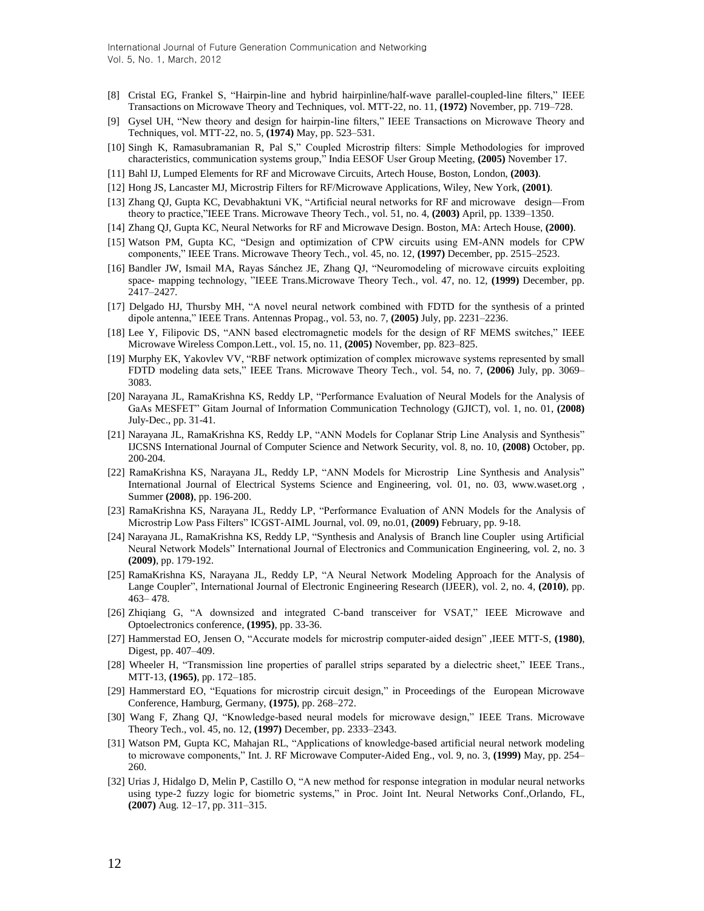- [8] Cristal EG, Frankel S, "Hairpin-line and hybrid hairpinline/half-wave parallel-coupled-line filters," IEEE Transactions on Microwave Theory and Techniques, vol. MTT-22, no. 11, **(1972)** November, pp. 719–728.
- [9] Gysel UH, "New theory and design for hairpin-line filters," IEEE Transactions on Microwave Theory and Techniques, vol. MTT-22, no. 5, **(1974)** May, pp. 523–531.
- [10] Singh K, Ramasubramanian R, Pal S," Coupled Microstrip filters: Simple Methodologies for improved characteristics, communication systems group,‖ India EESOF User Group Meeting, **(2005)** November 17.
- [11] Bahl IJ, Lumped Elements for RF and Microwave Circuits, Artech House, Boston, London, **(2003)**.
- [12] Hong JS, Lancaster MJ, Microstrip Filters for RF/Microwave Applications, Wiley, New York, **(2001)**.
- [13] Zhang QJ, Gupta KC, Devabhaktuni VK, "Artificial neural networks for RF and microwave design—From theory to practice,‖IEEE Trans. Microwave Theory Tech., vol. 51, no. 4, **(2003)** April, pp. 1339–1350.
- [14] Zhang QJ, Gupta KC, Neural Networks for RF and Microwave Design. Boston, MA: Artech House, **(2000)**.
- [15] Watson PM, Gupta KC, "Design and optimization of CPW circuits using EM-ANN models for CPW components,‖ IEEE Trans. Microwave Theory Tech., vol. 45, no. 12, **(1997)** December, pp. 2515–2523.
- [16] Bandler JW, Ismail MA, Rayas Sánchez JE, Zhang QJ, "Neuromodeling of microwave circuits exploiting space- mapping technology, "IEEE Trans.Microwave Theory Tech., vol. 47, no. 12, (1999) December, pp. 2417–2427.
- [17] Delgado HJ, Thursby MH, "A novel neural network combined with FDTD for the synthesis of a printed dipole antenna,‖ IEEE Trans. Antennas Propag., vol. 53, no. 7, **(2005)** July, pp. 2231–2236.
- [18] Lee Y, Filipovic DS, "ANN based electromagnetic models for the design of RF MEMS switches," IEEE Microwave Wireless Compon.Lett., vol. 15, no. 11, **(2005)** November, pp. 823–825.
- [19] Murphy EK, Yakovlev VV, "RBF network optimization of complex microwave systems represented by small FDTD modeling data sets,‖ IEEE Trans. Microwave Theory Tech., vol. 54, no. 7, **(2006)** July, pp. 3069– 3083.
- [20] Narayana JL, RamaKrishna KS, Reddy LP, "Performance Evaluation of Neural Models for the Analysis of GaAs MESFET‖ Gitam Journal of Information Communication Technology (GJICT), vol. 1, no. 01, **(2008)** July-Dec., pp. 31-41.
- [21] Narayana JL, RamaKrishna KS, Reddy LP, "ANN Models for Coplanar Strip Line Analysis and Synthesis" IJCSNS International Journal of Computer Science and Network Security, vol. 8, no. 10, **(2008)** October, pp. 200-204.
- [22] RamaKrishna KS, Narayana JL, Reddy LP, "ANN Models for Microstrip Line Synthesis and Analysis" International Journal of Electrical Systems Science and Engineering, vol. 01, no. 03, www.waset.org , Summer **(2008)**, pp. 196-200.
- [23] RamaKrishna KS, Narayana JL, Reddy LP, "Performance Evaluation of ANN Models for the Analysis of Microstrip Low Pass Filters‖ ICGST-AIML Journal, vol. 09, no.01, **(2009)** February, pp. 9-18.
- [24] Narayana JL, RamaKrishna KS, Reddy LP, "Synthesis and Analysis of Branch line Coupler using Artificial Neural Network Models" International Journal of Electronics and Communication Engineering, vol. 2, no. 3 **(2009)**, pp. 179-192.
- [25] RamaKrishna KS, Narayana JL, Reddy LP, "A Neural Network Modeling Approach for the Analysis of Lange Coupler", International Journal of Electronic Engineering Research (IJEER), vol. 2, no. 4, (2010), pp. 463– 478.
- [26] Zhiqiang G, "A downsized and integrated C-band transceiver for VSAT," IEEE Microwave and Optoelectronics conference, **(1995)**, pp. 33-36.
- [27] Hammerstad EO, Jensen O, "Accurate models for microstrip computer-aided design", IEEE MTT-S, (1980), Digest, pp. 407–409.
- [28] Wheeler H, "Transmission line properties of parallel strips separated by a dielectric sheet," IEEE Trans., MTT-13, **(1965)**, pp. 172–185.
- [29] Hammerstard EO, "Equations for microstrip circuit design," in Proceedings of the European Microwave Conference, Hamburg, Germany, **(1975)**, pp. 268–272.
- [30] Wang F, Zhang OJ, "Knowledge-based neural models for microwave design," IEEE Trans. Microwave Theory Tech., vol. 45, no. 12, **(1997)** December, pp. 2333–2343.
- [31] Watson PM, Gupta KC, Mahajan RL, "Applications of knowledge-based artificial neural network modeling to microwave components," Int. J. RF Microwave Computer-Aided Eng., vol. 9, no. 3, (1999) May, pp. 254– 260.
- [32] Urias J, Hidalgo D, Melin P, Castillo O, "A new method for response integration in modular neural networks using type-2 fuzzy logic for biometric systems," in Proc. Joint Int. Neural Networks Conf.,Orlando, FL, **(2007)** Aug. 12–17, pp. 311–315.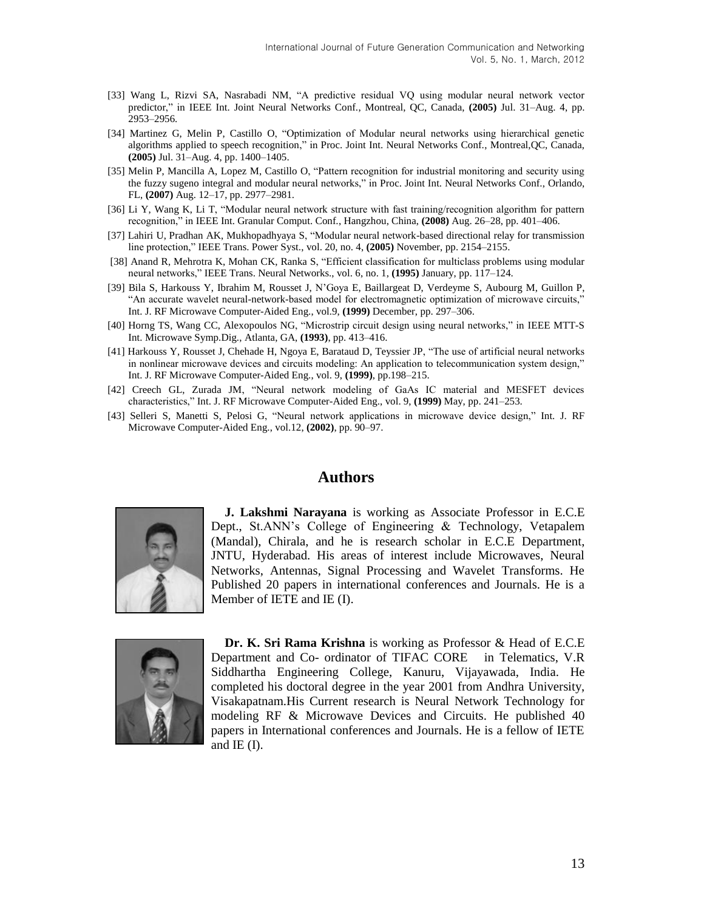- [33] Wang L, Rizvi SA, Nasrabadi NM, "A predictive residual VQ using modular neural network vector predictor," in IEEE Int. Joint Neural Networks Conf., Montreal, QC, Canada, (2005) Jul. 31-Aug. 4, pp. 2953–2956.
- [34] Martinez G, Melin P, Castillo O, "Optimization of Modular neural networks using hierarchical genetic algorithms applied to speech recognition," in Proc. Joint Int. Neural Networks Conf., Montreal, QC, Canada, **(2005)** Jul. 31–Aug. 4, pp. 1400–1405.
- [35] Melin P, Mancilla A, Lopez M, Castillo O, "Pattern recognition for industrial monitoring and security using the fuzzy sugeno integral and modular neural networks," in Proc. Joint Int. Neural Networks Conf., Orlando, FL, **(2007)** Aug. 12–17, pp. 2977–2981.
- [36] Li Y, Wang K, Li T, "Modular neural network structure with fast training/recognition algorithm for pattern recognition,‖ in IEEE Int. Granular Comput. Conf., Hangzhou, China, **(2008)** Aug. 26–28, pp. 401–406.
- [37] Lahiri U, Pradhan AK, Mukhopadhyaya S, "Modular neural network-based directional relay for transmission line protection,‖ IEEE Trans. Power Syst., vol. 20, no. 4, **(2005)** November, pp. 2154–2155.
- [38] Anand R, Mehrotra K, Mohan CK, Ranka S, "Efficient classification for multiclass problems using modular neural networks,‖ IEEE Trans. Neural Networks., vol. 6, no. 1, **(1995)** January, pp. 117–124.
- [39] Bila S, Harkouss Y, Ibrahim M, Rousset J, N'Goya E, Baillargeat D, Verdeyme S, Aubourg M, Guillon P, "An accurate wavelet neural-network-based model for electromagnetic optimization of microwave circuits," Int. J. RF Microwave Computer-Aided Eng., vol.9, **(1999)** December, pp. 297–306.
- [40] Horng TS, Wang CC, Alexopoulos NG, "Microstrip circuit design using neural networks," in IEEE MTT-S Int. Microwave Symp.Dig., Atlanta, GA, **(1993)**, pp. 413–416.
- [41] Harkouss Y, Rousset J, Chehade H, Ngoya E, Barataud D, Teyssier JP, "The use of artificial neural networks in nonlinear microwave devices and circuits modeling: An application to telecommunication system design," Int. J. RF Microwave Computer-Aided Eng., vol. 9, **(1999)**, pp.198–215.
- [42] Creech GL, Zurada JM, "Neural network modeling of GaAs IC material and MESFET devices characteristics,‖ Int. J. RF Microwave Computer-Aided Eng., vol. 9, **(1999)** May, pp. 241–253.
- [43] Selleri S, Manetti S, Pelosi G, "Neural network applications in microwave device design," Int. J. RF Microwave Computer-Aided Eng., vol.12, **(2002)**, pp. 90–97.

### **Authors**



**J. Lakshmi Narayana** is working as Associate Professor in E.C.E Dept., St.ANN's College of Engineering & Technology, Vetapalem (Mandal), Chirala, and he is research scholar in E.C.E Department, JNTU, Hyderabad. His areas of interest include Microwaves, Neural Networks, Antennas, Signal Processing and Wavelet Transforms. He Published 20 papers in international conferences and Journals. He is a Member of IETE and IE (I).



**Dr. K. Sri Rama Krishna** is working as Professor & Head of E.C.E Department and Co- ordinator of TIFAC CORE in Telematics, V.R Siddhartha Engineering College, Kanuru, Vijayawada, India. He completed his doctoral degree in the year 2001 from Andhra University, Visakapatnam.His Current research is Neural Network Technology for modeling RF & Microwave Devices and Circuits. He published 40 papers in International conferences and Journals. He is a fellow of IETE and  $IE$  (I).